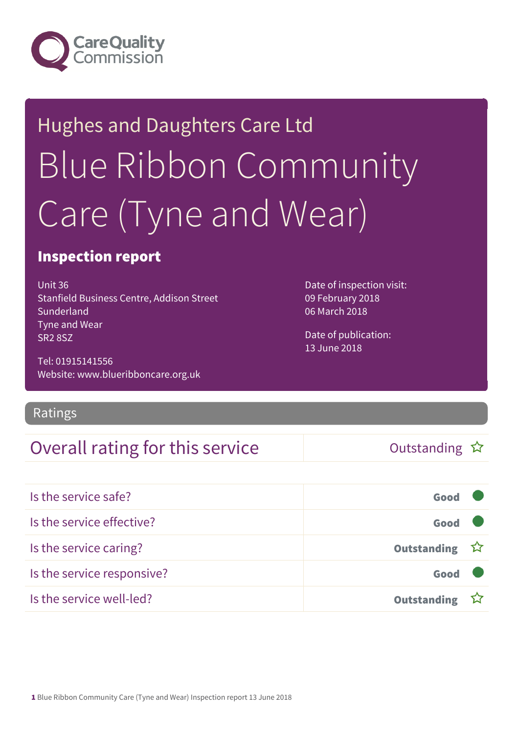

# Hughes and Daughters Care Ltd Blue Ribbon Community Care (Tyne and Wear)

#### Inspection report

Unit 36 Stanfield Business Centre, Addison Street Sunderland Tyne and Wear SR2 8SZ

Tel: 01915141556 Website: www.blueribboncare.org.uk

Ratings

#### Overall rating for this service  $\Box$  Outstanding  $\hat{x}$

Date of inspection visit: 09 February 2018 06 March 2018

Date of publication: 13 June 2018

| Is the service safe?       | Good               |  |
|----------------------------|--------------------|--|
| Is the service effective?  | Good               |  |
| Is the service caring?     | Outstanding ☆      |  |
| Is the service responsive? | Good               |  |
| Is the service well-led?   | <b>Outstanding</b> |  |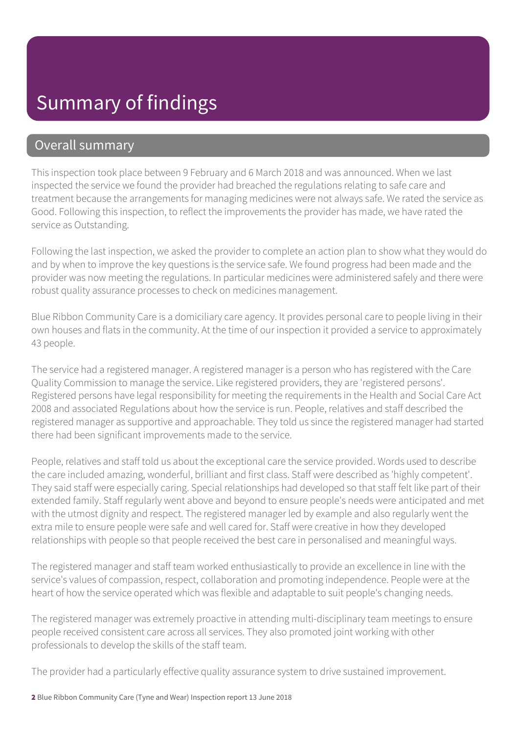#### Summary of findings

#### Overall summary

This inspection took place between 9 February and 6 March 2018 and was announced. When we last inspected the service we found the provider had breached the regulations relating to safe care and treatment because the arrangements for managing medicines were not always safe. We rated the service as Good. Following this inspection, to reflect the improvements the provider has made, we have rated the service as Outstanding.

Following the last inspection, we asked the provider to complete an action plan to show what they would do and by when to improve the key questions is the service safe. We found progress had been made and the provider was now meeting the regulations. In particular medicines were administered safely and there were robust quality assurance processes to check on medicines management.

Blue Ribbon Community Care is a domiciliary care agency. It provides personal care to people living in their own houses and flats in the community. At the time of our inspection it provided a service to approximately 43 people.

The service had a registered manager. A registered manager is a person who has registered with the Care Quality Commission to manage the service. Like registered providers, they are 'registered persons'. Registered persons have legal responsibility for meeting the requirements in the Health and Social Care Act 2008 and associated Regulations about how the service is run. People, relatives and staff described the registered manager as supportive and approachable. They told us since the registered manager had started there had been significant improvements made to the service.

People, relatives and staff told us about the exceptional care the service provided. Words used to describe the care included amazing, wonderful, brilliant and first class. Staff were described as 'highly competent'. They said staff were especially caring. Special relationships had developed so that staff felt like part of their extended family. Staff regularly went above and beyond to ensure people's needs were anticipated and met with the utmost dignity and respect. The registered manager led by example and also regularly went the extra mile to ensure people were safe and well cared for. Staff were creative in how they developed relationships with people so that people received the best care in personalised and meaningful ways.

The registered manager and staff team worked enthusiastically to provide an excellence in line with the service's values of compassion, respect, collaboration and promoting independence. People were at the heart of how the service operated which was flexible and adaptable to suit people's changing needs.

The registered manager was extremely proactive in attending multi-disciplinary team meetings to ensure people received consistent care across all services. They also promoted joint working with other professionals to develop the skills of the staff team.

The provider had a particularly effective quality assurance system to drive sustained improvement.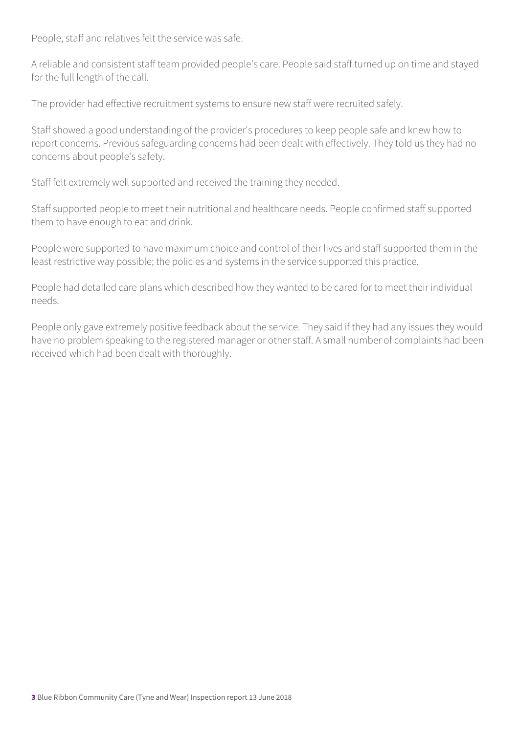People, staff and relatives felt the service was safe.

A reliable and consistent staff team provided people's care. People said staff turned up on time and stayed for the full length of the call.

The provider had effective recruitment systems to ensure new staff were recruited safely.

Staff showed a good understanding of the provider's procedures to keep people safe and knew how to report concerns. Previous safeguarding concerns had been dealt with effectively. They told us they had no concerns about people's safety.

Staff felt extremely well supported and received the training they needed.

Staff supported people to meet their nutritional and healthcare needs. People confirmed staff supported them to have enough to eat and drink.

People were supported to have maximum choice and control of their lives and staff supported them in the least restrictive way possible; the policies and systems in the service supported this practice.

People had detailed care plans which described how they wanted to be cared for to meet their individual needs.

People only gave extremely positive feedback about the service. They said if they had any issues they would have no problem speaking to the registered manager or other staff. A small number of complaints had been received which had been dealt with thoroughly.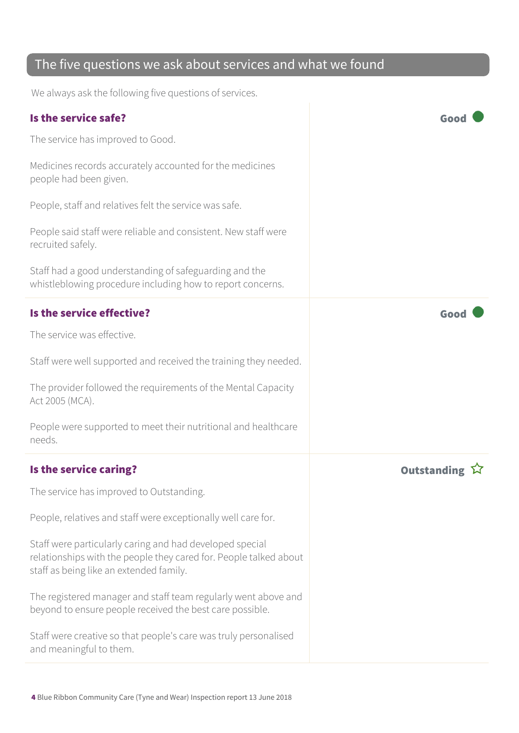#### The five questions we ask about services and what we found

We always ask the following five questions of services.

| Is the service safe?                                                                                                                                                     | Good               |
|--------------------------------------------------------------------------------------------------------------------------------------------------------------------------|--------------------|
| The service has improved to Good.                                                                                                                                        |                    |
| Medicines records accurately accounted for the medicines<br>people had been given.                                                                                       |                    |
| People, staff and relatives felt the service was safe.                                                                                                                   |                    |
| People said staff were reliable and consistent. New staff were<br>recruited safely.                                                                                      |                    |
| Staff had a good understanding of safeguarding and the<br>whistleblowing procedure including how to report concerns.                                                     |                    |
| Is the service effective?                                                                                                                                                | Good               |
| The service was effective.                                                                                                                                               |                    |
| Staff were well supported and received the training they needed.                                                                                                         |                    |
| The provider followed the requirements of the Mental Capacity<br>Act 2005 (MCA).                                                                                         |                    |
| People were supported to meet their nutritional and healthcare<br>needs.                                                                                                 |                    |
| Is the service caring?                                                                                                                                                   | <b>Outstanding</b> |
| The service has improved to Outstanding.                                                                                                                                 |                    |
| People, relatives and staff were exceptionally well care for.                                                                                                            |                    |
| Staff were particularly caring and had developed special<br>relationships with the people they cared for. People talked about<br>staff as being like an extended family. |                    |
| The registered manager and staff team regularly went above and<br>beyond to ensure people received the best care possible.                                               |                    |
| Staff were creative so that people's care was truly personalised<br>and meaningful to them.                                                                              |                    |
|                                                                                                                                                                          |                    |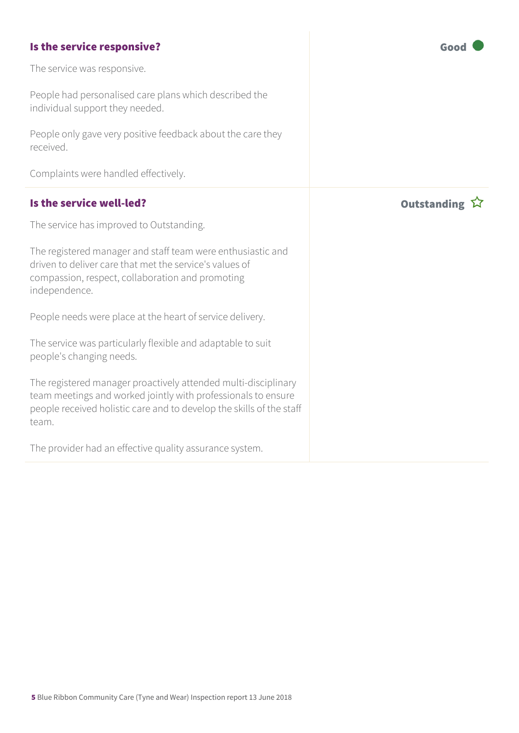#### **Is the service responsive?** Good

The service was responsive.

People had personalised care plans which described the individual support they needed.

People only gave very positive feedback about the care they received.

Complaints were handled effectively.

#### Is the service well-led? In the service well-led?

The service has improved to Outstanding.

The registered manager and staff team were enthusiastic and driven to deliver care that met the service's values of compassion, respect, collaboration and promoting independence.

People needs were place at the heart of service delivery.

The service was particularly flexible and adaptable to suit people's changing needs.

The registered manager proactively attended multi-disciplinary team meetings and worked jointly with professionals to ensure people received holistic care and to develop the skills of the staff team.

The provider had an effective quality assurance system.

5 Blue Ribbon Community Care (Tyne and Wear) Inspection report 13 June 2018

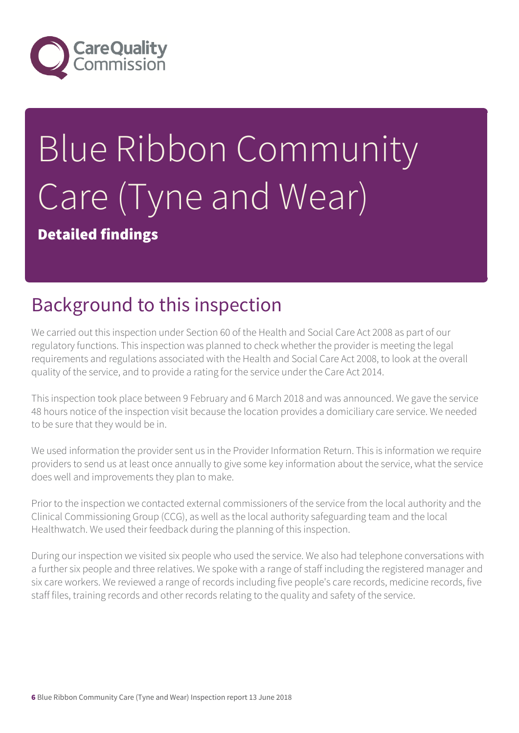

# Blue Ribbon Community Care (Tyne and Wear)

Detailed findings

### Background to this inspection

We carried out this inspection under Section 60 of the Health and Social Care Act 2008 as part of our regulatory functions. This inspection was planned to check whether the provider is meeting the legal requirements and regulations associated with the Health and Social Care Act 2008, to look at the overall quality of the service, and to provide a rating for the service under the Care Act 2014.

This inspection took place between 9 February and 6 March 2018 and was announced. We gave the service 48 hours notice of the inspection visit because the location provides a domiciliary care service. We needed to be sure that they would be in.

We used information the provider sent us in the Provider Information Return. This is information we require providers to send us at least once annually to give some key information about the service, what the service does well and improvements they plan to make.

Prior to the inspection we contacted external commissioners of the service from the local authority and the Clinical Commissioning Group (CCG), as well as the local authority safeguarding team and the local Healthwatch. We used their feedback during the planning of this inspection.

During our inspection we visited six people who used the service. We also had telephone conversations with a further six people and three relatives. We spoke with a range of staff including the registered manager and six care workers. We reviewed a range of records including five people's care records, medicine records, five staff files, training records and other records relating to the quality and safety of the service.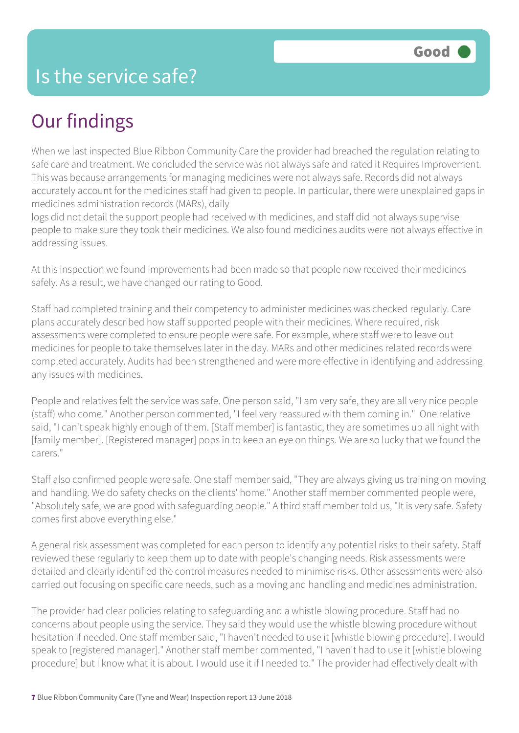#### Is the service safe?

### Our findings

When we last inspected Blue Ribbon Community Care the provider had breached the regulation relating to safe care and treatment. We concluded the service was not always safe and rated it Requires Improvement. This was because arrangements for managing medicines were not always safe. Records did not always accurately account for the medicines staff had given to people. In particular, there were unexplained gaps in medicines administration records (MARs), daily

logs did not detail the support people had received with medicines, and staff did not always supervise people to make sure they took their medicines. We also found medicines audits were not always effective in addressing issues.

At this inspection we found improvements had been made so that people now received their medicines safely. As a result, we have changed our rating to Good.

Staff had completed training and their competency to administer medicines was checked regularly. Care plans accurately described how staff supported people with their medicines. Where required, risk assessments were completed to ensure people were safe. For example, where staff were to leave out medicines for people to take themselves later in the day. MARs and other medicines related records were completed accurately. Audits had been strengthened and were more effective in identifying and addressing any issues with medicines.

People and relatives felt the service was safe. One person said, "I am very safe, they are all very nice people (staff) who come." Another person commented, "I feel very reassured with them coming in." One relative said, "I can't speak highly enough of them. [Staff member] is fantastic, they are sometimes up all night with [family member]. [Registered manager] pops in to keep an eye on things. We are so lucky that we found the carers."

Staff also confirmed people were safe. One staff member said, "They are always giving us training on moving and handling. We do safety checks on the clients' home." Another staff member commented people were, "Absolutely safe, we are good with safeguarding people." A third staff member told us, "It is very safe. Safety comes first above everything else."

A general risk assessment was completed for each person to identify any potential risks to their safety. Staff reviewed these regularly to keep them up to date with people's changing needs. Risk assessments were detailed and clearly identified the control measures needed to minimise risks. Other assessments were also carried out focusing on specific care needs, such as a moving and handling and medicines administration.

The provider had clear policies relating to safeguarding and a whistle blowing procedure. Staff had no concerns about people using the service. They said they would use the whistle blowing procedure without hesitation if needed. One staff member said, "I haven't needed to use it [whistle blowing procedure]. I would speak to [registered manager]." Another staff member commented, "I haven't had to use it [whistle blowing procedure] but I know what it is about. I would use it if I needed to." The provider had effectively dealt with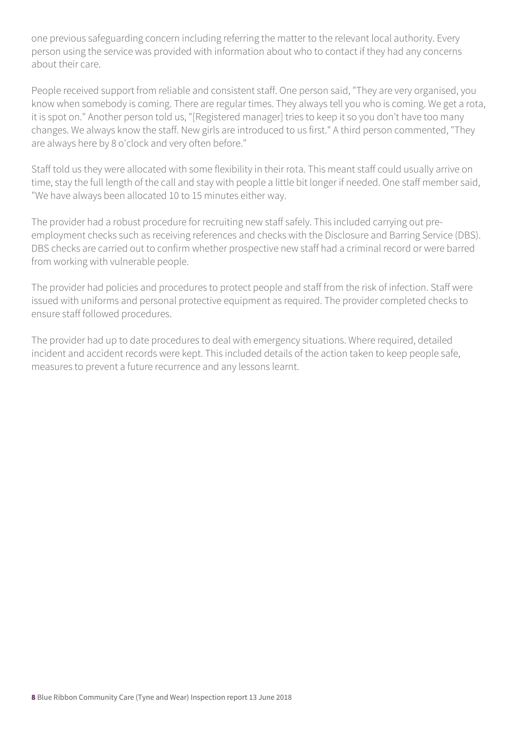one previous safeguarding concern including referring the matter to the relevant local authority. Every person using the service was provided with information about who to contact if they had any concerns about their care.

People received support from reliable and consistent staff. One person said, "They are very organised, you know when somebody is coming. There are regular times. They always tell you who is coming. We get a rota, it is spot on." Another person told us, "[Registered manager] tries to keep it so you don't have too many changes. We always know the staff. New girls are introduced to us first." A third person commented, "They are always here by 8 o'clock and very often before."

Staff told us they were allocated with some flexibility in their rota. This meant staff could usually arrive on time, stay the full length of the call and stay with people a little bit longer if needed. One staff member said, "We have always been allocated 10 to 15 minutes either way.

The provider had a robust procedure for recruiting new staff safely. This included carrying out preemployment checks such as receiving references and checks with the Disclosure and Barring Service (DBS). DBS checks are carried out to confirm whether prospective new staff had a criminal record or were barred from working with vulnerable people.

The provider had policies and procedures to protect people and staff from the risk of infection. Staff were issued with uniforms and personal protective equipment as required. The provider completed checks to ensure staff followed procedures.

The provider had up to date procedures to deal with emergency situations. Where required, detailed incident and accident records were kept. This included details of the action taken to keep people safe, measures to prevent a future recurrence and any lessons learnt.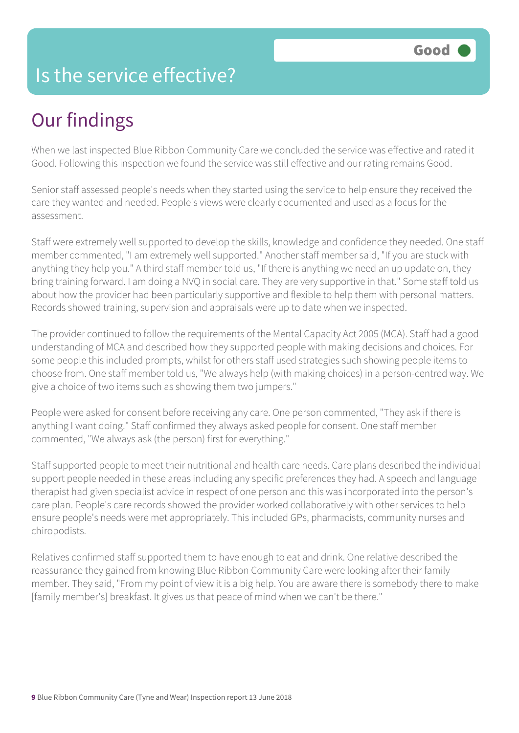#### Is the service effective?

# Our findings

When we last inspected Blue Ribbon Community Care we concluded the service was effective and rated it Good. Following this inspection we found the service was still effective and our rating remains Good.

Senior staff assessed people's needs when they started using the service to help ensure they received the care they wanted and needed. People's views were clearly documented and used as a focus for the assessment.

Staff were extremely well supported to develop the skills, knowledge and confidence they needed. One staff member commented, "I am extremely well supported." Another staff member said, "If you are stuck with anything they help you." A third staff member told us, "If there is anything we need an up update on, they bring training forward. I am doing a NVQ in social care. They are very supportive in that." Some staff told us about how the provider had been particularly supportive and flexible to help them with personal matters. Records showed training, supervision and appraisals were up to date when we inspected.

The provider continued to follow the requirements of the Mental Capacity Act 2005 (MCA). Staff had a good understanding of MCA and described how they supported people with making decisions and choices. For some people this included prompts, whilst for others staff used strategies such showing people items to choose from. One staff member told us, "We always help (with making choices) in a person-centred way. We give a choice of two items such as showing them two jumpers."

People were asked for consent before receiving any care. One person commented, "They ask if there is anything I want doing." Staff confirmed they always asked people for consent. One staff member commented, "We always ask (the person) first for everything."

Staff supported people to meet their nutritional and health care needs. Care plans described the individual support people needed in these areas including any specific preferences they had. A speech and language therapist had given specialist advice in respect of one person and this was incorporated into the person's care plan. People's care records showed the provider worked collaboratively with other services to help ensure people's needs were met appropriately. This included GPs, pharmacists, community nurses and chiropodists.

Relatives confirmed staff supported them to have enough to eat and drink. One relative described the reassurance they gained from knowing Blue Ribbon Community Care were looking after their family member. They said, "From my point of view it is a big help. You are aware there is somebody there to make [family member's] breakfast. It gives us that peace of mind when we can't be there."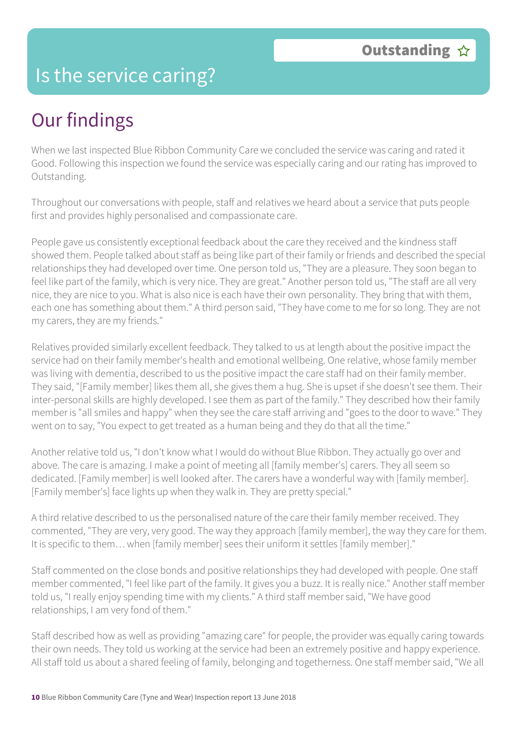#### Is the service caring?

# Our findings

When we last inspected Blue Ribbon Community Care we concluded the service was caring and rated it Good. Following this inspection we found the service was especially caring and our rating has improved to Outstanding.

Throughout our conversations with people, staff and relatives we heard about a service that puts people first and provides highly personalised and compassionate care.

People gave us consistently exceptional feedback about the care they received and the kindness staff showed them. People talked about staff as being like part of their family or friends and described the special relationships they had developed over time. One person told us, "They are a pleasure. They soon began to feel like part of the family, which is very nice. They are great." Another person told us, "The staff are all very nice, they are nice to you. What is also nice is each have their own personality. They bring that with them, each one has something about them." A third person said, "They have come to me for so long. They are not my carers, they are my friends."

Relatives provided similarly excellent feedback. They talked to us at length about the positive impact the service had on their family member's health and emotional wellbeing. One relative, whose family member was living with dementia, described to us the positive impact the care staff had on their family member. They said, "[Family member] likes them all, she gives them a hug. She is upset if she doesn't see them. Their inter-personal skills are highly developed. I see them as part of the family." They described how their family member is "all smiles and happy" when they see the care staff arriving and "goes to the door to wave." They went on to say, "You expect to get treated as a human being and they do that all the time."

Another relative told us, "I don't know what I would do without Blue Ribbon. They actually go over and above. The care is amazing. I make a point of meeting all [family member's] carers. They all seem so dedicated. [Family member] is well looked after. The carers have a wonderful way with [family member]. [Family member's] face lights up when they walk in. They are pretty special."

A third relative described to us the personalised nature of the care their family member received. They commented, "They are very, very good. The way they approach [family member], the way they care for them. It is specific to them… when [family member] sees their uniform it settles [family member]."

Staff commented on the close bonds and positive relationships they had developed with people. One staff member commented, "I feel like part of the family. It gives you a buzz. It is really nice." Another staff member told us, "I really enjoy spending time with my clients." A third staff member said, "We have good relationships, I am very fond of them."

Staff described how as well as providing "amazing care" for people, the provider was equally caring towards their own needs. They told us working at the service had been an extremely positive and happy experience. All staff told us about a shared feeling of family, belonging and togetherness. One staff member said, "We all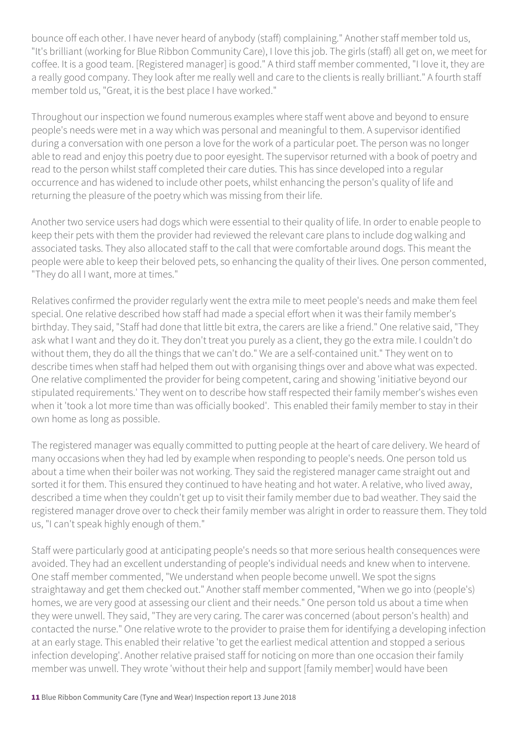bounce off each other. I have never heard of anybody (staff) complaining." Another staff member told us, "It's brilliant (working for Blue Ribbon Community Care), I love this job. The girls (staff) all get on, we meet for coffee. It is a good team. [Registered manager] is good." A third staff member commented, "I love it, they are a really good company. They look after me really well and care to the clients is really brilliant." A fourth staff member told us, "Great, it is the best place I have worked."

Throughout our inspection we found numerous examples where staff went above and beyond to ensure people's needs were met in a way which was personal and meaningful to them. A supervisor identified during a conversation with one person a love for the work of a particular poet. The person was no longer able to read and enjoy this poetry due to poor eyesight. The supervisor returned with a book of poetry and read to the person whilst staff completed their care duties. This has since developed into a regular occurrence and has widened to include other poets, whilst enhancing the person's quality of life and returning the pleasure of the poetry which was missing from their life.

Another two service users had dogs which were essential to their quality of life. In order to enable people to keep their pets with them the provider had reviewed the relevant care plans to include dog walking and associated tasks. They also allocated staff to the call that were comfortable around dogs. This meant the people were able to keep their beloved pets, so enhancing the quality of their lives. One person commented, "They do all I want, more at times."

Relatives confirmed the provider regularly went the extra mile to meet people's needs and make them feel special. One relative described how staff had made a special effort when it was their family member's birthday. They said, "Staff had done that little bit extra, the carers are like a friend." One relative said, "They ask what I want and they do it. They don't treat you purely as a client, they go the extra mile. I couldn't do without them, they do all the things that we can't do." We are a self-contained unit." They went on to describe times when staff had helped them out with organising things over and above what was expected. One relative complimented the provider for being competent, caring and showing 'initiative beyond our stipulated requirements.' They went on to describe how staff respected their family member's wishes even when it 'took a lot more time than was officially booked'. This enabled their family member to stay in their own home as long as possible.

The registered manager was equally committed to putting people at the heart of care delivery. We heard of many occasions when they had led by example when responding to people's needs. One person told us about a time when their boiler was not working. They said the registered manager came straight out and sorted it for them. This ensured they continued to have heating and hot water. A relative, who lived away, described a time when they couldn't get up to visit their family member due to bad weather. They said the registered manager drove over to check their family member was alright in order to reassure them. They told us, "I can't speak highly enough of them."

Staff were particularly good at anticipating people's needs so that more serious health consequences were avoided. They had an excellent understanding of people's individual needs and knew when to intervene. One staff member commented, "We understand when people become unwell. We spot the signs straightaway and get them checked out." Another staff member commented, "When we go into (people's) homes, we are very good at assessing our client and their needs." One person told us about a time when they were unwell. They said, "They are very caring. The carer was concerned (about person's health) and contacted the nurse." One relative wrote to the provider to praise them for identifying a developing infection at an early stage. This enabled their relative 'to get the earliest medical attention and stopped a serious infection developing'. Another relative praised staff for noticing on more than one occasion their family member was unwell. They wrote 'without their help and support [family member] would have been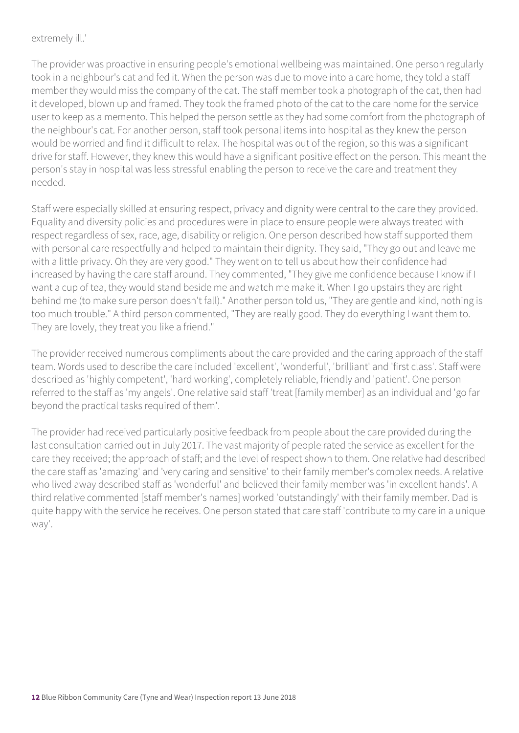#### extremely ill.'

The provider was proactive in ensuring people's emotional wellbeing was maintained. One person regularly took in a neighbour's cat and fed it. When the person was due to move into a care home, they told a staff member they would miss the company of the cat. The staff member took a photograph of the cat, then had it developed, blown up and framed. They took the framed photo of the cat to the care home for the service user to keep as a memento. This helped the person settle as they had some comfort from the photograph of the neighbour's cat. For another person, staff took personal items into hospital as they knew the person would be worried and find it difficult to relax. The hospital was out of the region, so this was a significant drive for staff. However, they knew this would have a significant positive effect on the person. This meant the person's stay in hospital was less stressful enabling the person to receive the care and treatment they needed.

Staff were especially skilled at ensuring respect, privacy and dignity were central to the care they provided. Equality and diversity policies and procedures were in place to ensure people were always treated with respect regardless of sex, race, age, disability or religion. One person described how staff supported them with personal care respectfully and helped to maintain their dignity. They said, "They go out and leave me with a little privacy. Oh they are very good." They went on to tell us about how their confidence had increased by having the care staff around. They commented, "They give me confidence because I know if I want a cup of tea, they would stand beside me and watch me make it. When I go upstairs they are right behind me (to make sure person doesn't fall)." Another person told us, "They are gentle and kind, nothing is too much trouble." A third person commented, "They are really good. They do everything I want them to. They are lovely, they treat you like a friend."

The provider received numerous compliments about the care provided and the caring approach of the staff team. Words used to describe the care included 'excellent', 'wonderful', 'brilliant' and 'first class'. Staff were described as 'highly competent', 'hard working', completely reliable, friendly and 'patient'. One person referred to the staff as 'my angels'. One relative said staff 'treat [family member] as an individual and 'go far beyond the practical tasks required of them'.

The provider had received particularly positive feedback from people about the care provided during the last consultation carried out in July 2017. The vast majority of people rated the service as excellent for the care they received; the approach of staff; and the level of respect shown to them. One relative had described the care staff as 'amazing' and 'very caring and sensitive' to their family member's complex needs. A relative who lived away described staff as 'wonderful' and believed their family member was 'in excellent hands'. A third relative commented [staff member's names] worked 'outstandingly' with their family member. Dad is quite happy with the service he receives. One person stated that care staff 'contribute to my care in a unique way'.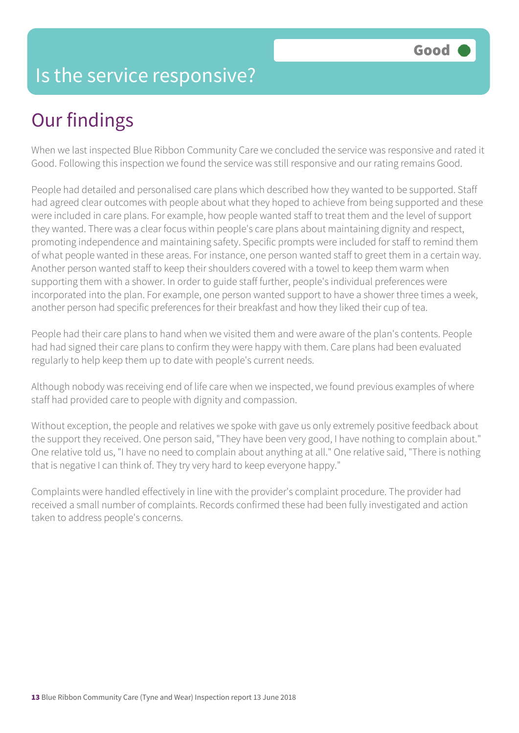#### Is the service responsive?

# Our findings

When we last inspected Blue Ribbon Community Care we concluded the service was responsive and rated it Good. Following this inspection we found the service was still responsive and our rating remains Good.

People had detailed and personalised care plans which described how they wanted to be supported. Staff had agreed clear outcomes with people about what they hoped to achieve from being supported and these were included in care plans. For example, how people wanted staff to treat them and the level of support they wanted. There was a clear focus within people's care plans about maintaining dignity and respect, promoting independence and maintaining safety. Specific prompts were included for staff to remind them of what people wanted in these areas. For instance, one person wanted staff to greet them in a certain way. Another person wanted staff to keep their shoulders covered with a towel to keep them warm when supporting them with a shower. In order to guide staff further, people's individual preferences were incorporated into the plan. For example, one person wanted support to have a shower three times a week, another person had specific preferences for their breakfast and how they liked their cup of tea.

People had their care plans to hand when we visited them and were aware of the plan's contents. People had had signed their care plans to confirm they were happy with them. Care plans had been evaluated regularly to help keep them up to date with people's current needs.

Although nobody was receiving end of life care when we inspected, we found previous examples of where staff had provided care to people with dignity and compassion.

Without exception, the people and relatives we spoke with gave us only extremely positive feedback about the support they received. One person said, "They have been very good, I have nothing to complain about." One relative told us, "I have no need to complain about anything at all." One relative said, "There is nothing that is negative I can think of. They try very hard to keep everyone happy."

Complaints were handled effectively in line with the provider's complaint procedure. The provider had received a small number of complaints. Records confirmed these had been fully investigated and action taken to address people's concerns.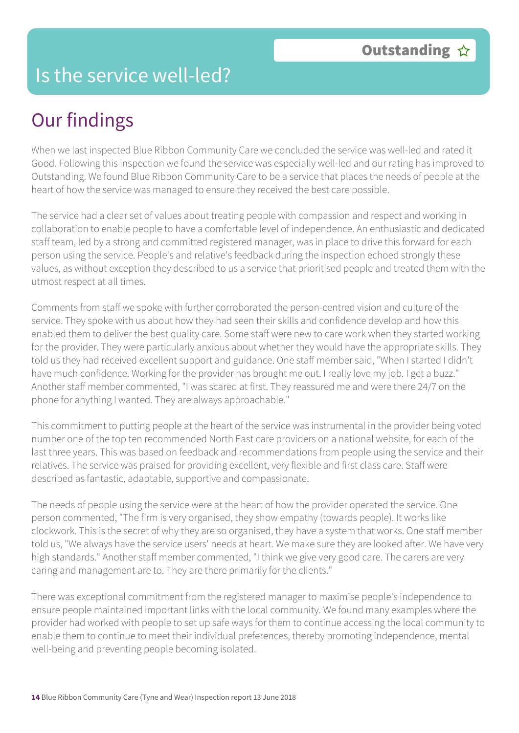#### Is the service well-led?

# Our findings

When we last inspected Blue Ribbon Community Care we concluded the service was well-led and rated it Good. Following this inspection we found the service was especially well-led and our rating has improved to Outstanding. We found Blue Ribbon Community Care to be a service that places the needs of people at the heart of how the service was managed to ensure they received the best care possible.

The service had a clear set of values about treating people with compassion and respect and working in collaboration to enable people to have a comfortable level of independence. An enthusiastic and dedicated staff team, led by a strong and committed registered manager, was in place to drive this forward for each person using the service. People's and relative's feedback during the inspection echoed strongly these values, as without exception they described to us a service that prioritised people and treated them with the utmost respect at all times.

Comments from staff we spoke with further corroborated the person-centred vision and culture of the service. They spoke with us about how they had seen their skills and confidence develop and how this enabled them to deliver the best quality care. Some staff were new to care work when they started working for the provider. They were particularly anxious about whether they would have the appropriate skills. They told us they had received excellent support and guidance. One staff member said, "When I started I didn't have much confidence. Working for the provider has brought me out. I really love my job. I get a buzz." Another staff member commented, "I was scared at first. They reassured me and were there 24/7 on the phone for anything I wanted. They are always approachable."

This commitment to putting people at the heart of the service was instrumental in the provider being voted number one of the top ten recommended North East care providers on a national website, for each of the last three years. This was based on feedback and recommendations from people using the service and their relatives. The service was praised for providing excellent, very flexible and first class care. Staff were described as fantastic, adaptable, supportive and compassionate.

The needs of people using the service were at the heart of how the provider operated the service. One person commented, "The firm is very organised, they show empathy (towards people). It works like clockwork. This is the secret of why they are so organised, they have a system that works. One staff member told us, "We always have the service users' needs at heart. We make sure they are looked after. We have very high standards." Another staff member commented, "I think we give very good care. The carers are very caring and management are to. They are there primarily for the clients."

There was exceptional commitment from the registered manager to maximise people's independence to ensure people maintained important links with the local community. We found many examples where the provider had worked with people to set up safe ways for them to continue accessing the local community to enable them to continue to meet their individual preferences, thereby promoting independence, mental well-being and preventing people becoming isolated.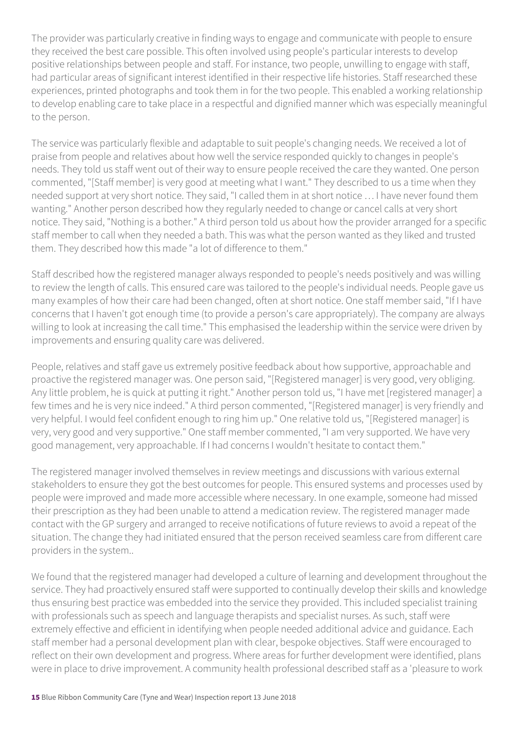The provider was particularly creative in finding ways to engage and communicate with people to ensure they received the best care possible. This often involved using people's particular interests to develop positive relationships between people and staff. For instance, two people, unwilling to engage with staff, had particular areas of significant interest identified in their respective life histories. Staff researched these experiences, printed photographs and took them in for the two people. This enabled a working relationship to develop enabling care to take place in a respectful and dignified manner which was especially meaningful to the person.

The service was particularly flexible and adaptable to suit people's changing needs. We received a lot of praise from people and relatives about how well the service responded quickly to changes in people's needs. They told us staff went out of their way to ensure people received the care they wanted. One person commented, "[Staff member] is very good at meeting what I want." They described to us a time when they needed support at very short notice. They said, "I called them in at short notice … I have never found them wanting." Another person described how they regularly needed to change or cancel calls at very short notice. They said, "Nothing is a bother." A third person told us about how the provider arranged for a specific staff member to call when they needed a bath. This was what the person wanted as they liked and trusted them. They described how this made "a lot of difference to them."

Staff described how the registered manager always responded to people's needs positively and was willing to review the length of calls. This ensured care was tailored to the people's individual needs. People gave us many examples of how their care had been changed, often at short notice. One staff member said, "If I have concerns that I haven't got enough time (to provide a person's care appropriately). The company are always willing to look at increasing the call time." This emphasised the leadership within the service were driven by improvements and ensuring quality care was delivered.

People, relatives and staff gave us extremely positive feedback about how supportive, approachable and proactive the registered manager was. One person said, "[Registered manager] is very good, very obliging. Any little problem, he is quick at putting it right." Another person told us, "I have met [registered manager] a few times and he is very nice indeed." A third person commented, "[Registered manager] is very friendly and very helpful. I would feel confident enough to ring him up." One relative told us, "[Registered manager] is very, very good and very supportive." One staff member commented, "I am very supported. We have very good management, very approachable. If I had concerns I wouldn't hesitate to contact them."

The registered manager involved themselves in review meetings and discussions with various external stakeholders to ensure they got the best outcomes for people. This ensured systems and processes used by people were improved and made more accessible where necessary. In one example, someone had missed their prescription as they had been unable to attend a medication review. The registered manager made contact with the GP surgery and arranged to receive notifications of future reviews to avoid a repeat of the situation. The change they had initiated ensured that the person received seamless care from different care providers in the system..

We found that the registered manager had developed a culture of learning and development throughout the service. They had proactively ensured staff were supported to continually develop their skills and knowledge thus ensuring best practice was embedded into the service they provided. This included specialist training with professionals such as speech and language therapists and specialist nurses. As such, staff were extremely effective and efficient in identifying when people needed additional advice and guidance. Each staff member had a personal development plan with clear, bespoke objectives. Staff were encouraged to reflect on their own development and progress. Where areas for further development were identified, plans were in place to drive improvement. A community health professional described staff as a 'pleasure to work